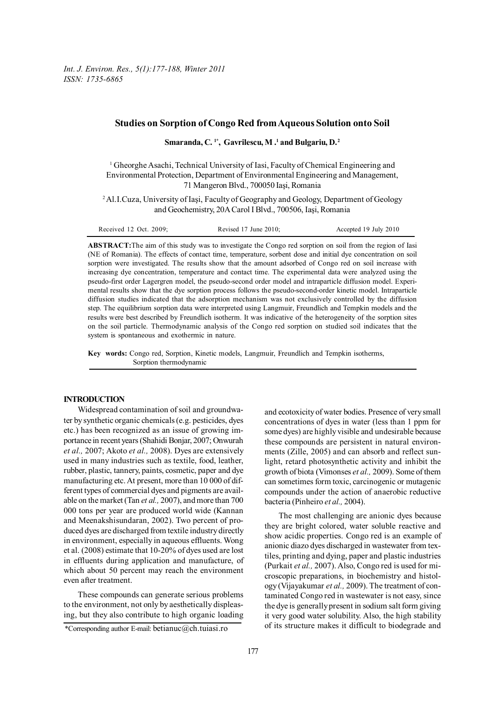*Int. J. Environ. Res., 5(1):177-188, Winter 2011 ISSN: 1735-6865*

# **Studies on Sorption of Congo Red from Aqueous Solution onto Soil**

**Smaranda, C. 1\*, Gavrilescu, M .1 and Bulgariu, D. 2**

<sup>1</sup> Gheorghe Asachi, Technical University of Iasi, Faculty of Chemical Engineering and Environmental Protection, Department of Environmental Engineering and Management, 71 Mangeron Blvd., 700050 Iaşi, Romania

<sup>2</sup> Al.I.Cuza, University of Iași, Faculty of Geography and Geology, Department of Geology and Geochemistry, 20A Carol I Blvd., 700506, Iaşi, Romania

| Received 12 Oct. 2009; | Revised $17$ June $2010$ ; | Accepted 19 July 2010 |
|------------------------|----------------------------|-----------------------|
|------------------------|----------------------------|-----------------------|

**ABSTRACT:**The aim of this study was to investigate the Congo red sorption on soil from the region of Iasi (NE of Romania). The effects of contact time, temperature, sorbent dose and initial dye concentration on soil sorption were investigated. The results show that the amount adsorbed of Congo red on soil increase with increasing dye concentration, temperature and contact time. The experimental data were analyzed using the pseudo-first order Lagergren model, the pseudo-second order model and intraparticle diffusion model. Experimental results show that the dye sorption process follows the pseudo-second-order kinetic model. Intraparticle diffusion studies indicated that the adsorption mechanism was not exclusively controlled by the diffusion step. The equilibrium sorption data were interpreted using Langmuir, Freundlich and Tempkin models and the results were best described by Freundlich isotherm. It was indicative of the heterogeneity of the sorption sites on the soil particle. Thermodynamic analysis of the Congo red sorption on studied soil indicates that the system is spontaneous and exothermic in nature.

**Key words:** Congo red, Sorption, Kinetic models, Langmuir, Freundlich and Tempkin isotherms, Sorption thermodynamic

### **INTRODUCTION**

Widespread contamination of soil and groundwater by synthetic organic chemicals (e.g. pesticides, dyes etc.) has been recognized as an issue of growing importance in recent years (Shahidi Bonjar, 2007; Onwurah *et al.,* 2007; Akoto *et al.,* 2008). Dyes are extensively used in many industries such as textile, food, leather, rubber, plastic, tannery, paints, cosmetic, paper and dye manufacturing etc. At present, more than 10 000 of different types of commercial dyes and pigments are available on the market (Tan *et al.,* 2007), and more than 700 000 tons per year are produced world wide (Kannan and Meenakshisundaran, 2002). Two percent of produced dyes are discharged from textile industry directly in environment, especially in aqueous effluents. Wong et al. (2008) estimate that 10-20% of dyes used are lost in effluents during application and manufacture, of which about 50 percent may reach the environment even after treatment.

These compounds can generate serious problems to the environment, not only by aesthetically displeasing, but they also contribute to high organic loading and ecotoxicity of water bodies. Presence of very small concentrations of dyes in water (less than 1 ppm for some dyes) are highly visible and undesirable because these compounds are persistent in natural environments (Zille, 2005) and can absorb and reflect sunlight, retard photosynthetic activity and inhibit the growth of biota (Vimonses *et al.,* 2009). Some of them can sometimes form toxic, carcinogenic or mutagenic compounds under the action of anaerobic reductive bacteria (Pinheiro *et al.,* 2004).

The most challenging are anionic dyes because they are bright colored, water soluble reactive and show acidic properties. Congo red is an example of anionic diazo dyes discharged in wastewater from textiles, printing and dying, paper and plastic industries (Purkait *et al.,* 2007). Also, Congo red is used for microscopic preparations, in biochemistry and histology (Vijayakumar *et al.,* 2009). The treatment of contaminated Congo red in wastewater is not easy, since the dye is generally present in sodium salt form giving it very good water solubility. Also, the high stability of its structure makes it difficult to biodegrade and

<sup>\*</sup>Corresponding author E-mail: betianuc $@ch.tuiasi-ro$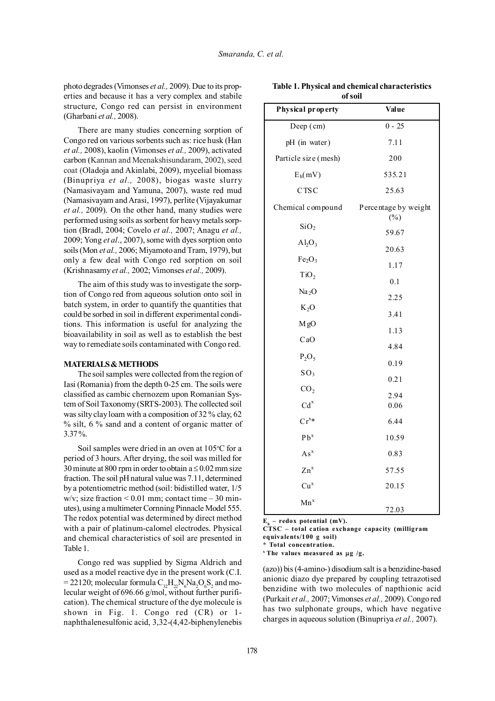photo degrades (Vimonses *et al.,* 2009). Due to its properties and because it has a very complex and stabile structure, Congo red can persist in environment (Gharbani *et al.,* 2008).

There are many studies concerning sorption of Congo red on various sorbents such as: rice husk (Han *et al.,* 2008), kaolin (Vimonses *et al.,* 2009), activated carbon (Kannan and Meenakshisundaram, 2002), seed coat (Oladoja and Akinlabi, 2009), mycelial biomass (Binupriya *et al.,* 2008), biogas waste slurry (Namasivayam and Yamuna, 2007), waste red mud (Namasivayam and Arasi, 1997), perlite (Vijayakumar *et al.,* 2009). On the other hand, many studies were performed using soils as sorbent for heavy metals sorption (Bradl, 2004; Covelo *et al.,* 2007; Anagu *et al.,* 2009; Yong *et al*., 2007), some with dyes sorption onto soils (Mon *et al.,* 2006; Miyamoto and Tram, 1979), but only a few deal with Congo red sorption on soil (Krishnasamy *et al.,* 2002; Vimonses *et al.,* 2009).

The aim of this study was to investigate the sorption of Congo red from aqueous solution onto soil in batch system, in order to quantify the quantities that could be sorbed in soil in different experimental conditions. This information is useful for analyzing the bioavailability in soil as well as to establish the best way to remediate soils contaminated with Congo red.

#### **MATERIALS & METHODS**

The soil samples were collected from the region of Iasi (Romania) from the depth 0-25 cm. The soils were classified as cambic chernozem upon Romanian System of Soil Taxonomy (SRTS-2003). The collected soil was silty clay loam with a composition of 32 % clay, 62 % silt, 6 % sand and a content of organic matter of 3.37 %.

Soil samples were dried in an oven at 105°C for a period of 3 hours. After drying, the soil was milled for 30 minute at 800 rpm in order to obtain  $a \le 0.02$  mm size fraction. The soil pH natural value was 7.11, determined by a potentiometric method (soil: bidistilled water, 1/5 w/v; size fraction  $< 0.01$  mm; contact time  $-30$  minutes), using a multimeter Cornning Pinnacle Model 555. The redox potential was determined by direct method with a pair of platinum-calomel electrodes. Physical and chemical characteristics of soil are presented in Table 1.

Congo red was supplied by Sigma Aldrich and used as a model reactive dye in the present work (C.I. = 22120; molecular formula  $C_{32}H_{22}N_6Na_2O_6S_2$  and molecular weight of 696.66 g/mol, without further purification). The chemical structure of the dye molecule is shown in Fig. 1. Congo red (CR) or 1 naphthalenesulfonic acid, 3,32-(4,42-biphenylenebis

| Physical property              | Value                          |  |  |  |
|--------------------------------|--------------------------------|--|--|--|
| Deep (cm)                      | $0 - 25$                       |  |  |  |
| pH (in water)                  | 7.11                           |  |  |  |
| Particle size (mesh)           | 200                            |  |  |  |
| $E_h(mV)$                      | 535.21                         |  |  |  |
| CTSC                           | 25.63                          |  |  |  |
| Chemical compound              | Percentage by weight<br>$(\%)$ |  |  |  |
| SiO <sub>2</sub>               | 59.67                          |  |  |  |
| $Al_2O_3$                      | 20.63                          |  |  |  |
| Fe <sub>2</sub> O <sub>3</sub> | 1.17                           |  |  |  |
| TiO <sub>2</sub>               | 0.1                            |  |  |  |
| Na <sub>2</sub> O              | 2.25                           |  |  |  |
| $K_2O$                         | 3.41                           |  |  |  |
| MgO                            | 1.13                           |  |  |  |
| CaO                            | 4.84                           |  |  |  |
| $P_2O_5$                       | 0.19                           |  |  |  |
| SO <sub>3</sub>                | 0.21                           |  |  |  |
| CO <sub>2</sub>                |                                |  |  |  |
| Cd <sup>x</sup>                | 2.94<br>0.06                   |  |  |  |
| $Cr^{x*}$                      | 6.44                           |  |  |  |
| $Pb^x$                         | 10.59                          |  |  |  |
| $As^x$                         | 0.83                           |  |  |  |
| $\text{Zn}^{\text{x}}$         | 57.55                          |  |  |  |
| Cu <sup>x</sup>                | 20.15                          |  |  |  |

**Table 1. Physical and chemical characteristics of soil**

 $E_{h}$  – redox potential (mV).

 $Mn^x$ 

**CTSC – total cation exchange capacity (milligram equivalents/100 g soil)**

72.03

**\* Total concentration.**

 $x$  The values measured as  $\mu$ g /g.

(azo)) bis (4-amino-) disodium salt is a benzidine-based anionic diazo dye prepared by coupling tetrazotised benzidine with two molecules of napthionic acid (Purkait *et al.,* 2007; Vimonses *et al.,* 2009). Congo red has two sulphonate groups, which have negative charges in aqueous solution (Binupriya *et al.,* 2007).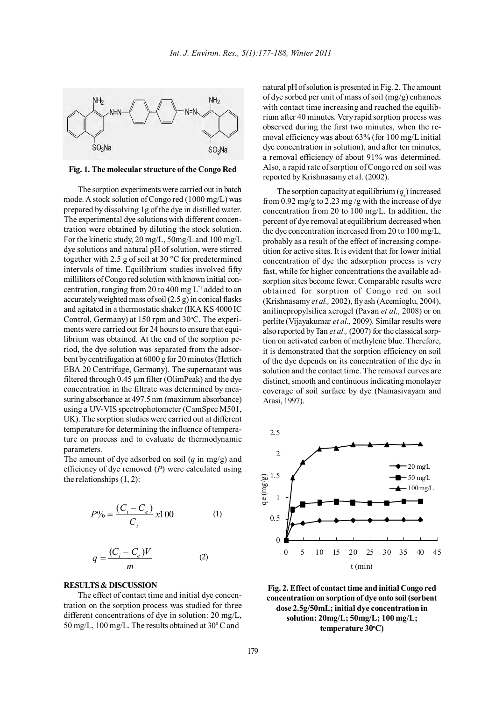

**Fig. 1. The molecular structure of the Congo Red**

The sorption experiments were carried out in batch mode. A stock solution of Congo red (1000 mg/L) was prepared by dissolving 1g of the dye in distilled water. The experimental dye solutions with different concentration were obtained by diluting the stock solution. For the kinetic study, 20 mg/L, 50mg/L and 100 mg/L dye solutions and natural pH of solution, were stirred together with 2.5 g of soil at 30 °C for predetermined intervals of time. Equilibrium studies involved fifty milliliters of Congo red solution with known initial concentration, ranging from 20 to 400 mg L"1 added to an accurately weighted mass of soil (2.5 g) in conical flasks and agitated in a thermostatic shaker (IKA KS 4000 IC Control, Germany) at 150 rpm and 30°C. The experiments were carried out for 24 hours to ensure that equilibrium was obtained. At the end of the sorption period, the dye solution was separated from the adsorbent by centrifugation at 6000 g for 20 minutes (Hettich EBA 20 Centrifuge, Germany). The supernatant was filtered through 0.45 µm filter (OlimPeak) and the dye concentration in the filtrate was determined by measuring absorbance at 497.5 nm (maximum absorbance) using a UV-VIS spectrophotometer (CamSpec M501, UK). The sorption studies were carried out at different temperature for determining the influence of temperature on process and to evaluate de thermodynamic parameters.

The amount of dye adsorbed on soil (*q* in mg/g) and efficiency of dye removed (*P*) were calculated using the relationships (1, 2):

$$
P\% = \frac{(C_i - C_e)}{C_i} \times 100
$$
 (1)

$$
q = \frac{(C_i - C_e)V}{m} \tag{2}
$$

## **RESULTS & DISCUSSION**

The effect of contact time and initial dye concentration on the sorption process was studied for three different concentrations of dye in solution: 20 mg/L,  $50 \text{ mg/L}$ , 100 mg/L. The results obtained at  $30^{\circ}$ C and

natural pH of solution is presented in Fig. 2. The amount of dye sorbed per unit of mass of soil (mg/g) enhances with contact time increasing and reached the equilibrium after 40 minutes. Very rapid sorption process was observed during the first two minutes, when the removal efficiency was about 63% (for 100 mg/L initial dye concentration in solution), and after ten minutes, a removal efficiency of about 91% was determined. Also, a rapid rate of sorption of Congo red on soil was reported by Krishnasamy et al. (2002).

The sorption capacity at equilibrium  $(q_e)$  increased from 0.92 mg/g to 2.23 mg /g with the increase of dye concentration from 20 to 100 mg/L. In addition, the percent of dye removal at equilibrium decreased when the dye concentration increased from 20 to 100 mg/L, probably as a result of the effect of increasing competition for active sites. It is evident that for lower initial concentration of dye the adsorption process is very fast, while for higher concentrations the available adsorption sites become fewer. Comparable results were obtained for sorption of Congo red on soil (Krishnasamy *et al.,* 2002), fly ash (Acemioglu, 2004), anilinepropylsilica xerogel (Pavan *et al.,* 2008) or on perlite (Vijayakumar *et al.,* 2009). Similar results were also reported by Tan *et al.,* (2007) for the classical sorption on activated carbon of methylene blue. Therefore, it is demonstrated that the sorption efficiency on soil of the dye depends on its concentration of the dye in solution and the contact time. The removal curves are distinct, smooth and continuous indicating monolayer coverage of soil surface by dye (Namasivayam and Arasi, 1997).



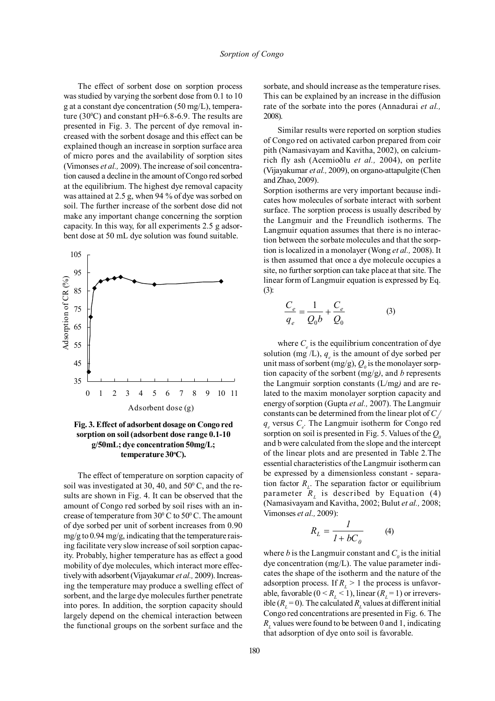The effect of sorbent dose on sorption process was studied by varying the sorbent dose from 0.1 to 10 g at a constant dye concentration (50 mg/L), temperature  $(30^{\circ}$ C) and constant pH=6.8-6.9. The results are presented in Fig. 3. The percent of dye removal increased with the sorbent dosage and this effect can be explained though an increase in sorption surface area of micro pores and the availability of sorption sites (Vimonses *et al.,* 2009). The increase of soil concentration caused a decline in the amount of Congo red sorbed at the equilibrium. The highest dye removal capacity was attained at 2.5 g, when 94 % of dye was sorbed on soil. The further increase of the sorbent dose did not make any important change concerning the sorption capacity. In this way, for all experiments 2.5 g adsorbent dose at 50 mL dye solution was found suitable.



**Fig. 3. Effect of adsorbent dosage on Congo red sorption on soil (adsorbent dose range 0.1-10 g/50mL; dye concentration 50mg/L; temperature 30o C).**

The effect of temperature on sorption capacity of soil was investigated at 30, 40, and  $50^{\circ}$  C, and the results are shown in Fig. 4. It can be observed that the amount of Congo red sorbed by soil rises with an increase of temperature from  $30^{\circ}$  C to  $50^{\circ}$  C. The amount of dye sorbed per unit of sorbent increases from 0.90 mg/g to  $0.94$  mg/g, indicating that the temperature raising facilitate very slow increase of soil sorption capacity. Probably, higher temperature has as effect a good mobility of dye molecules, which interact more effectively with adsorbent (Vijayakumar *et al.,* 2009). Increasing the temperature may produce a swelling effect of sorbent, and the large dye molecules further penetrate into pores. In addition, the sorption capacity should largely depend on the chemical interaction between the functional groups on the sorbent surface and the

sorbate, and should increase as the temperature rises. This can be explained by an increase in the diffusion rate of the sorbate into the pores (Annadurai *et al.,* 2008).

Similar results were reported on sorption studies of Congo red on activated carbon prepared from coir pith (Namasivayam and Kavitha, 2002), on calciumrich fly ash (Acemioðlu *et al.,* 2004), on perlite (Vijayakumar *et al.,* 2009), on organo-attapulgite (Chen and Zhao, 2009).

Sorption isotherms are very important because indicates how molecules of sorbate interact with sorbent surface. The sorption process is usually described by the Langmuir and the Freundlich isotherms. The Langmuir equation assumes that there is no interaction between the sorbate molecules and that the sorption is localized in a monolayer (Wong *et al.,* 2008). It is then assumed that once a dye molecule occupies a site, no further sorption can take place at that site. The linear form of Langmuir equation is expressed by Eq. (3):

$$
\frac{C_e}{q_e} = \frac{1}{Q_0 b} + \frac{C_e}{Q_0}
$$
 (3)

where  $C_e$  is the equilibrium concentration of dye solution (mg  $/L$ ),  $q_e$  is the amount of dye sorbed per unit mass of sorbent (mg/g),  $Q<sub>0</sub>$  is the monolayer sorption capacity of the sorbent (mg/g*)*, and *b* represents the Langmuir sorption constants (L/mg*)* and are related to the maxim monolayer sorption capacity and energy of sorption (Gupta *et al.,* 2007). The Langmuir constants can be determined from the linear plot of  $C_{\ell}$  $q_e$  versus  $C_e$ . The Langmuir isotherm for Congo red sorption on soil is presented in Fig. 5. Values of the  $Q_0$ and b were calculated from the slope and the intercept of the linear plots and are presented in Table 2.The essential characteristics of the Langmuir isotherm can be expressed by a dimensionless constant - separation factor  $R_{\textit{L}}$ . The separation factor or equilibrium parameter  $\bar{R}_L$  is described by Equation (4) (Namasivayam and Kavitha, 2002; Bulut *et al.,* 2008; Vimonses *et al.,* 2009):

$$
R_L = \frac{I}{I + bC_0} \tag{4}
$$

where *b* is the Langmuir constant and  $C_{\theta}$  is the initial dye concentration (mg/L). The value parameter indicates the shape of the isotherm and the nature of the adsorption process. If  $R_L > 1$  the process is unfavorable, favorable  $(0 \le R_L \le 1)$ , linear  $(R_L = 1)$  or irreversible  $(R<sub>L</sub> = 0)$ . The calculated  $R<sub>L</sub>$  values at different initial Congo red concentrations are presented in Fig. 6. The *RL* values were found to be between 0 and 1, indicating that adsorption of dye onto soil is favorable.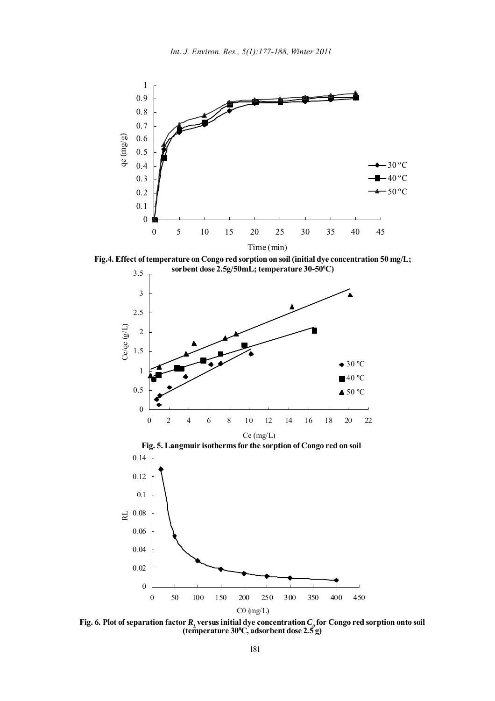

**Fig.4. Effect of temperature on Congo red sorption on soil (initial dye concentration 50 mg/L;**



**Fig. 6. Plot of separation factor**  $R_L$  **versus initial dye concentration**  $C_\rho$  **for Congo red sorption onto soil (temperature 300 C, adsorbent dose 2.5 g)**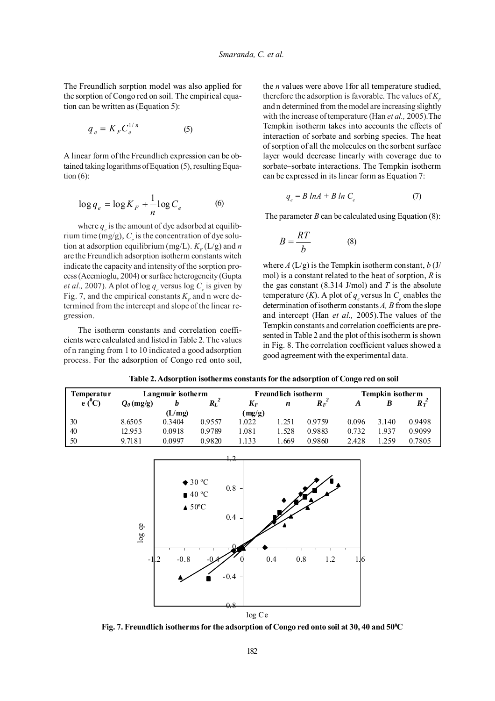The Freundlich sorption model was also applied for the sorption of Congo red on soil. The empirical equation can be written as (Equation 5):

$$
q_e = K_F C_e^{1/n} \tag{5}
$$

A linear form of the Freundlich expression can be obtained taking logarithms of Equation (5), resulting Equation  $(6)$ :

$$
\log q_e = \log K_F + \frac{1}{n} \log C_e \tag{6}
$$

where  $q_e$  is the amount of dye adsorbed at equilibrium time (mg/g),  $C_e$  is the concentration of dye solution at adsorption equilibrium (mg/L).  $K<sub>F</sub>$  (L/g) and *n* are the Freundlich adsorption isotherm constants witch indicate the capacity and intensity of the sorption process (Acemioglu, 2004) or surface heterogeneity (Gupta *et al.,* 2007). A plot of log  $q_e$  versus log  $C_e$  is given by Fig. 7, and the empirical constants  $K<sub>r</sub>$  and n were determined from the intercept and slope of the linear regression.

The isotherm constants and correlation coefficients were calculated and listed in Table 2. The values of n ranging from 1 to 10 indicated a good adsorption process. For the adsorption of Congo red onto soil, the *n* values were above 1for all temperature studied, therefore the adsorption is favorable. The values of  $K<sub>r</sub>$ and n determined from the model are increasing slightly with the increase of temperature (Han *et al.,* 2005).The Tempkin isotherm takes into accounts the effects of interaction of sorbate and sorbing species. The heat of sorption of all the molecules on the sorbent surface layer would decrease linearly with coverage due to sorbate–sorbate interactions. The Tempkin isotherm can be expressed in its linear form as Equation 7:

$$
q_e = B \ln A + B \ln C_e \tag{7}
$$

The parameter  $B$  can be calculated using Equation  $(8)$ :

$$
B = \frac{RT}{b} \tag{8}
$$

where  $A(L/g)$  is the Tempkin isotherm constant,  $b(J/$ mol) is a constant related to the heat of sorption, *R* is the gas constant (8.314 J/mol) and *T* is the absolute temperature (*K*). A plot of  $q_e$  versus ln  $C_e$  enables the determination of isotherm constants *A, B* from the slope and intercept (Han *et al.,* 2005).The values of the Tempkin constants and correlation coefficients are presented in Table 2 and the plot of this isotherm is shown in Fig. 8. The correlation coefficient values showed a good agreement with the experimental data.

| <b>l'emperatur</b> |                     | Langmuir isotherm |         |        | <b>Freundlich isotherm</b> |                  |       | Tempkin isotherm |                 |
|--------------------|---------------------|-------------------|---------|--------|----------------------------|------------------|-------|------------------|-----------------|
| $e(^0C)$           | $Q_{\theta}$ (mg/g) |                   | $R_L^2$ | $K_F$  | n                          | $R_{F}^{\prime}$ | А     |                  | $R\tilde{\tau}$ |
|                    |                     | (L/mg)            |         | (mg/g) |                            |                  |       |                  |                 |
| 30                 | 8.6505              | 0.3404            | 0.9557  | 1.022  | .251                       | 0.9759           | 0.096 | 3.140            | 0.9498          |
| 40                 | 12.953              | 0.0918            | 0.9789  | 1.081  | . 528                      | 0.9883           | 0.732 | . 937            | 0.9099          |
| 50                 | 9.7181              | 0 0997            | 0.9820  | 1.133  | .669                       | 0.9860           | 2.428 | .259             | 0.7805          |





Fig. 7. Freundlich isotherms for the adsorption of Congo red onto soil at 30, 40 and 50°C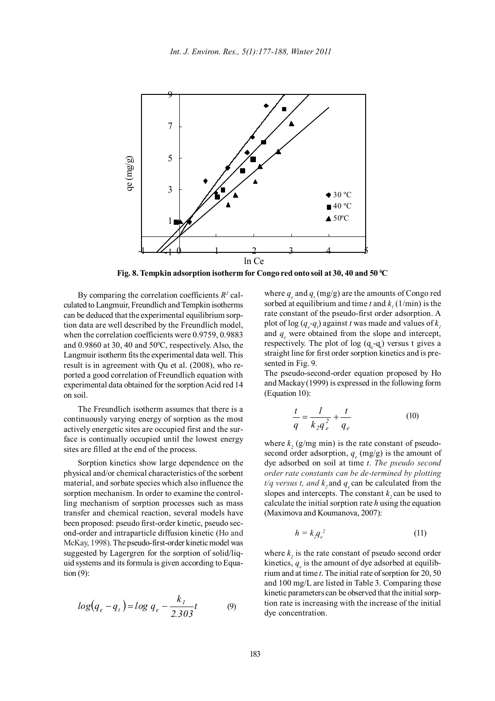

Fig. 8. Tempkin adsorption isotherm for Congo red onto soil at 30, 40 and 50 °C

By comparing the correlation coefficients  $R^2$  calculated to Langmuir, Freundlich and Tempkin isotherms can be deduced that the experimental equilibrium sorption data are well described by the Freundlich model, when the correlation coefficients were 0.9759, 0.9883 and  $0.9860$  at 30, 40 and  $50^{\circ}$ C, respectively. Also, the Langmuir isotherm fits the experimental data well. This result is in agreement with Qu et al. (2008), who reported a good correlation of Freundlich equation with experimental data obtained for the sorption Acid red 14 on soil.

The Freundlich isotherm assumes that there is a continuously varying energy of sorption as the most actively energetic sites are occupied first and the surface is continually occupied until the lowest energy sites are filled at the end of the process.

Sorption kinetics show large dependence on the physical and/or chemical characteristics of the sorbent material, and sorbate species which also influence the sorption mechanism. In order to examine the controlling mechanism of sorption processes such as mass transfer and chemical reaction, several models have been proposed: pseudo first-order kinetic, pseudo second-order and intraparticle diffusion kinetic (Ho and McKay, 1998). The pseudo-first-order kinetic model was suggested by Lagergren for the sorption of solid/liquid systems and its formula is given according to Equation (9):

$$
log(q_e - q_t) = log q_e - \frac{k_l}{2.303}t
$$
 (9)

where  $q_e$  and  $q_t$  (mg/g) are the amounts of Congo red sorbed at equilibrium and time *t* and  $k<sub>1</sub>$  (1/min) is the rate constant of the pseudo-first order adsorption. A plot of log  $(q_e - q_i)$  against *t* was made and values of  $k_i$ and  $q_e$  were obtained from the slope and intercept, respectively. The plot of  $log (q_{e} - q_{t})$  versus t gives a straight line for first order sorption kinetics and is presented in Fig. 9.

The pseudo-second-order equation proposed by Ho and Mackay (1999) is expressed in the following form (Equation 10):

$$
\frac{t}{q} = \frac{1}{k_2 q_e^2} + \frac{t}{q_e} \tag{10}
$$

where  $k_2$  (g/mg min) is the rate constant of pseudosecond order adsorption,  $q_e$  (mg/g) is the amount of dye adsorbed on soil at time *t*. *The pseudo second order rate constants can be de-termined by plotting*  $t/q$  *versus t, and k*, and  $q_{\text{e}}$  can be calculated from the slopes and intercepts. The constant  $k$ , can be used to calculate the initial sorption rate *h* using the equation (Maximova and Koumanova, 2007):

$$
h = k_2 q_e^2 \tag{11}
$$

where  $k_2$  is the rate constant of pseudo second order kinetics,  $q_e$  is the amount of dye adsorbed at equilibrium and at time *t*. The initial rate of sorption for 20, 50 and 100 mg/L are listed in Table 3. Comparing these kinetic parameters can be observed that the initial sorption rate is increasing with the increase of the initial dye concentration.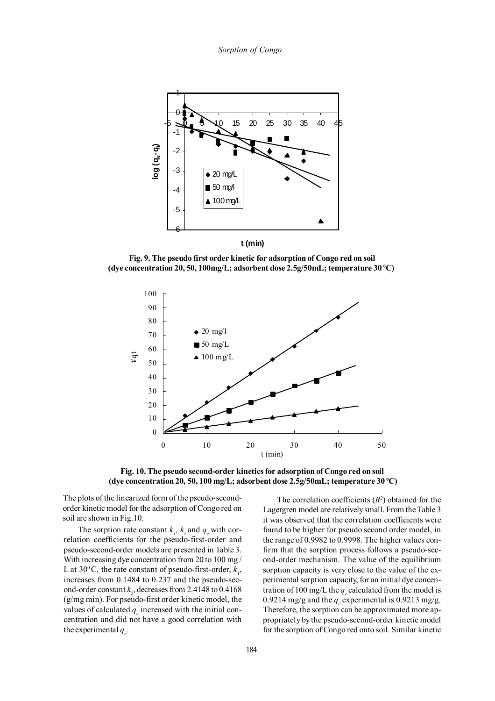*Sorption of Congo*



**Fig. 9. The pseudo first order kinetic for adsorption of Congo red on soil (dye concentration 20, 50, 100mg/L; adsorbent dose 2.5g/50mL; temperature 30 0 C)**



**Fig. 10. The pseudo second-order kinetics for adsorption of Congo red on soil (dye concentration 20, 50, 100 mg/L; adsorbent dose 2.5g/50mL; temperature 30 0 C)**

The plots of the linearized form of the pseudo-secondorder kinetic model for the adsorption of Congo red on soil are shown in Fig.10.

The sorption rate constant  $k_p$ ,  $k_2$  and  $q_e$  with correlation coefficients for the pseudo-first-order and pseudo-second-order models are presented in Table 3. With increasing dye concentration from 20 to 100 mg / L at 30<sup>°</sup>C, the rate constant of pseudo-first-order,  $k_1$ , increases from 0.1484 to 0.237 and the pseudo-second-order constant  $k_z$ , decreases from 2.4148 to  $0.4168$ (g/mg min). For pseudo-first order kinetic model, the values of calculated  $q_e$  increased with the initial concentration and did not have a good correlation with the experimental  $q_e$ .

The correlation coefficients  $(R<sup>2</sup>)$  obtained for the Lagergren model are relatively small. From the Table 3 it was observed that the correlation coefficients were found to be higher for pseudo second order model, in the range of 0.9982 to 0.9998. The higher values confirm that the sorption process follows a pseudo-second-order mechanism. The value of the equilibrium sorption capacity is very close to the value of the experimental sorption capacity, for an initial dye concentration of 100 mg/L the  $q_e$  calculated from the model is 0.9214 mg/g and the  $q_e$  experimental is 0.9213 mg/g. Therefore, the sorption can be approximated more appropriately by the pseudo-second-order kinetic model for the sorption of Congo red onto soil. Similar kinetic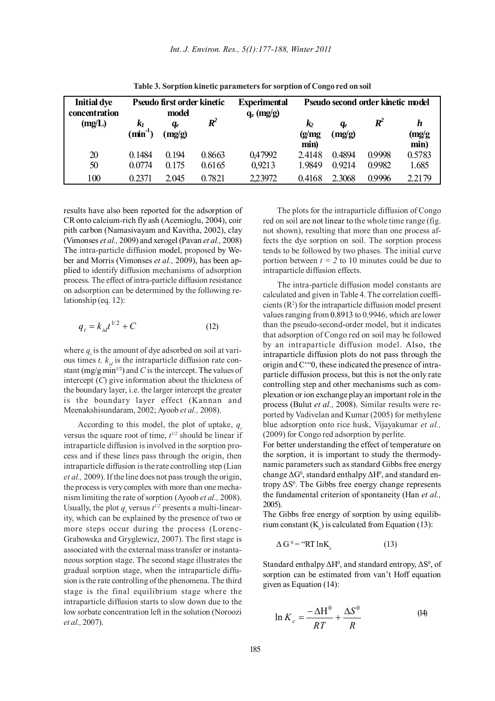| <b>Initial dye</b><br>concentration | Pseudo first order kinetic<br>model |                          | <b>Experimental</b><br>$q_e$ (mg/g) | Pseudo second order kinetic model |                                  |                  |                    |                    |
|-------------------------------------|-------------------------------------|--------------------------|-------------------------------------|-----------------------------------|----------------------------------|------------------|--------------------|--------------------|
| (mg/L)                              | k1<br>$\min^{-1}$                   | q <sub>e</sub><br>(mg/g) | $R^2$                               |                                   | $\mathbf{k}_2$<br>(g/mg)<br>min) | $q_e$<br>(mg/g)  | $\boldsymbol{R}^2$ | h<br>(mg/g<br>min) |
| 20<br>50                            | 0.1484<br>0.0774                    | 0.194<br>0.175           | 0.8663<br>0.6165                    | 0,47992<br>0,9213                 | 2.4148<br>1.9849                 | 0.4894<br>0.9214 | 0.9998<br>0.9982   | 0.5783<br>1.685    |
| 100                                 | 0.2371                              | 2.045                    | 0.7821                              | 2,23972                           | 0.4168                           | 2.3068           | 0.9996             | 2.2179             |

**Table 3. Sorption kinetic parameters for sorption of Congo red on soil**

results have also been reported for the adsorption of CR onto calcium-rich fly ash (Acemioglu, 2004), coir pith carbon (Namasivayam and Kavitha, 2002), clay (Vimonses *et al.,* 2009) and xerogel (Pavan *et al.,* 2008) The intra-particle diffusion model, proposed by Weber and Morris (Vimonses *et al.,* 2009), has been applied to identify diffusion mechanisms of adsorption process. The effect of intra-particle diffusion resistance on adsorption can be determined by the following relationship (eq. 12):

$$
q_t = k_{id}t^{1/2} + C \t\t(12)
$$

where  $q_i$  is the amount of dye adsorbed on soil at various times  $t$ ,  $k_{id}$  is the intraparticle diffusion rate constant (mg/g min<sup>1/2</sup>) and *C* is the intercept. The values of intercept (*C*) give information about the thickness of the boundary layer, i.e. the larger intercept the greater is the boundary layer effect (Kannan and Meenakshisundaram, 2002; Ayoob *et al.,* 2008).

According to this model, the plot of uptake,  $q_{\perp}$ versus the square root of time,  $t^{1/2}$  should be linear if intraparticle diffusion is involved in the sorption process and if these lines pass through the origin, then intraparticle diffusion is the rate controlling step (Lian *et al.,* 2009). If the line does not pass trough the origin, the process is very complex with more than one mechanism limiting the rate of sorption (Ayoob *et al.,* 2008). Usually, the plot  $q_t$  versus  $t^{1/2}$  presents a multi-linearity, which can be explained by the presence of two or more steps occur during the process (Lorenc-Grabowska and Gryglewicz, 2007). The first stage is associated with the external mass transfer or instantaneous sorption stage. The second stage illustrates the gradual sorption stage, when the intraparticle diffusion is the rate controlling of the phenomena. The third stage is the final equilibrium stage where the intraparticle diffusion starts to slow down due to the low sorbate concentration left in the solution (Noroozi *et al.,* 2007).

The plots for the intraparticle diffusion of Congo red on soil are not linear to the whole time range (fig. not shown), resulting that more than one process affects the dye sorption on soil. The sorption process tends to be followed by two phases. The initial curve portion between  $t = 2$  to 10 minutes could be due to intraparticle diffusion effects.

The intra-particle diffusion model constants are calculated and given in Table 4. The correlation coefficients  $(R<sup>2</sup>)$  for the intraparticle diffusion model present values ranging from 0.8913 to 0.9946, which are lower than the pseudo-second-order model, but it indicates that adsorption of Congo red on soil may be followed by an intraparticle diffusion model. Also, the intraparticle diffusion plots do not pass through the origin and C'"0, these indicated the presence of intraparticle diffusion process, but this is not the only rate controlling step and other mechanisms such as complexation or ion exchange play an important role in the process (Bulut *et al.,* 2008). Similar results were reported by Vadivelan and Kumar (2005) for methylene blue adsorption onto rice husk, Vijayakumar *et al.,* (2009) for Congo red adsorption by perlite.

For better understanding the effect of temperature on the sorption, it is important to study the thermodynamic parameters such as standard Gibbs free energy change  $\Delta G^0$ , standard enthalpy  $\Delta H^0$ , and standard entropy  $\Delta S^0$ . The Gibbs free energy change represents the fundamental criterion of spontaneity (Han *et al.,* 2005).

The Gibbs free energy of sorption by using equilibrium constant  $(K_c)$  is calculated from Equation (13):

$$
\Delta G^0 = \text{``RT}\ln K_c \tag{13}
$$

Standard enthalpy  $\Delta H^0$ , and standard entropy,  $\Delta S^0$ , of sorption can be estimated from van't Hoff equation given as Equation (14):

$$
\ln K_c = \frac{-\Delta H^0}{RT} + \frac{\Delta S^0}{R}
$$
 (14)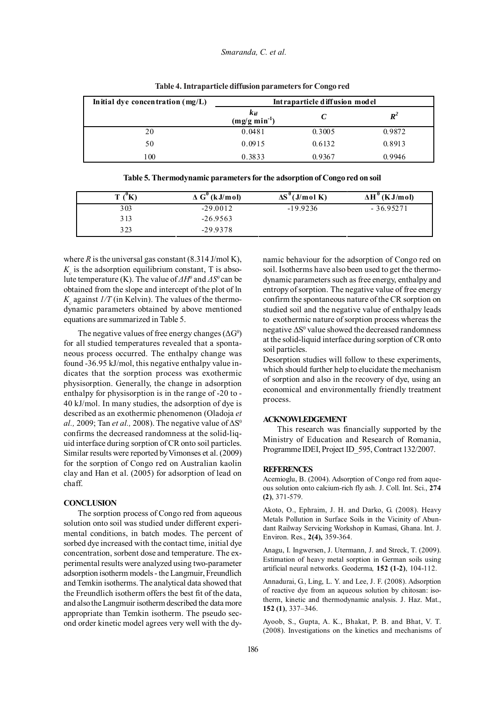| Initial dye concentration $(mg/L)$ | Intraparticle diffusion model         |        |                   |  |  |
|------------------------------------|---------------------------------------|--------|-------------------|--|--|
|                                    | $k_{id}$<br>(mg/g min <sup>-1</sup> ) |        | $\bm{R}^{\angle}$ |  |  |
| 20                                 | 0.0481                                | 0.3005 | 0.9872            |  |  |
| 50                                 | 0.0915                                | 0.6132 | 0.8913            |  |  |
| 100                                | 0.3833                                | 0.9367 | በ 9946            |  |  |

**Table 4. Intraparticle diffusion parameters for Congo red**

| m<br>л | $\Delta G^{\prime\prime}$ (kJ/mol) | $\Delta S^{\nu}(J/mol K)$ | $\Delta H^0$ (KJ/mol) |
|--------|------------------------------------|---------------------------|-----------------------|
| 303    | $-29.0012$                         | $-19.9236$                | $-36.95271$           |
| 3 1 3  | $-26.9563$                         |                           |                       |
| 3 2 3  | $-29.9378$                         |                           |                       |

**Table 5. Thermodynamic parameters for the adsorption of Congo red on soil**

where  $R$  is the universal gas constant  $(8.314$  J/mol K),  $K_c$  is the adsorption equilibrium constant, T is absolute temperature (K). The value of  $\Delta H^0$  and  $\Delta S^0$  can be obtained from the slope and intercept of the plot of ln  $K_c$  against  $1/T$  (in Kelvin). The values of the thermodynamic parameters obtained by above mentioned equations are summarized in Table 5.

The negative values of free energy changes ( $\Delta G^0$ ) for all studied temperatures revealed that a spontaneous process occurred. The enthalpy change was found -36.95 kJ/mol, this negative enthalpy value indicates that the sorption process was exothermic physisorption. Generally, the change in adsorption enthalpy for physisorption is in the range of -20 to - 40 kJ/mol. In many studies, the adsorption of dye is described as an exothermic phenomenon (Oladoja *et al.,* 2009; Tan *et al.,* 2008). The negative value of  $\Delta S^0$ confirms the decreased randomness at the solid-liquid interface during sorption of CR onto soil particles. Similar results were reported by Vimonses et al. (2009) for the sorption of Congo red on Australian kaolin clay and Han et al. (2005) for adsorption of lead on chaff.

### **CONCLUSION**

The sorption process of Congo red from aqueous solution onto soil was studied under different experimental conditions, in batch modes. The percent of sorbed dye increased with the contact time, initial dye concentration, sorbent dose and temperature. The experimental results were analyzed using two-parameter adsorption isotherm models - the Langmuir, Freundlich and Temkin isotherms. The analytical data showed that the Freundlich isotherm offers the best fit of the data, and also the Langmuir isotherm described the data more appropriate than Temkin isotherm. The pseudo second order kinetic model agrees very well with the dynamic behaviour for the adsorption of Congo red on soil. Isotherms have also been used to get the thermodynamic parameters such as free energy, enthalpy and entropy of sorption. The negative value of free energy confirm the spontaneous nature of the CR sorption on studied soil and the negative value of enthalpy leads to exothermic nature of sorption process whereas the negative ∆S<sup>0</sup> value showed the decreased randomness at the solid-liquid interface during sorption of CR onto soil particles.

Desorption studies will follow to these experiments, which should further help to elucidate the mechanism of sorption and also in the recovery of dye, using an economical and environmentally friendly treatment process.

### **ACKNOWLEDGEMENT**

This research was financially supported by the Ministry of Education and Research of Romania, Programme IDEI, Project ID\_595, Contract 132/2007.

### **REFERENCES**

Acemioglu, B. (2004). Adsorption of Congo red from aqueous solution onto calcium-rich fly ash. J. Coll. Int. Sci., **274 (2)**, 371-579.

Akoto, O., Ephraim, J. H. and Darko, G. (2008). Heavy Metals Pollution in Surface Soils in the Vicinity of Abundant Railway Servicing Workshop in Kumasi, Ghana. Int. J. Environ. Res., **2(4),** 359-364.

Anagu, I. Ingwersen, J. Utermann, J. and Streck, T. (2009). Estimation of heavy metal sorption in German soils using artificial neural networks. Geoderma*,* **152 (1-2)**, 104-112.

Annadurai, G., Ling, L. Y. and Lee, J. F. (2008). Adsorption of reactive dye from an aqueous solution by chitosan: isotherm, kinetic and thermodynamic analysis. J. Haz. Mat., **152 (1)**, 337–346.

Ayoob, S., Gupta, A. K., Bhakat, P. B. and Bhat, V. T. (2008). Investigations on the kinetics and mechanisms of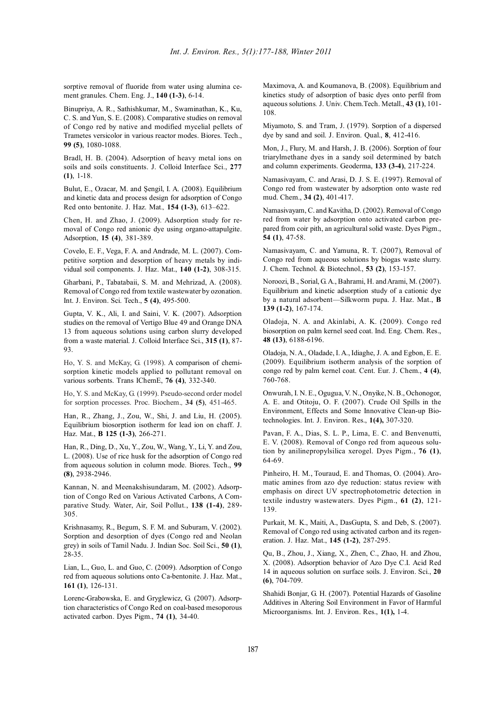sorptive removal of fluoride from water using alumina cement granules. Chem. Eng. J., **140 (1-3)**, 6-14.

Binupriya, A. R., Sathishkumar, M., Swaminathan, K., Ku, C. S. and Yun, S. E. (2008). Comparative studies on removal of Congo red by native and modified mycelial pellets of Trametes versicolor in various reactor modes. Biores. Tech., **99 (5)**, 1080-1088.

Bradl, H. B. (2004). Adsorption of heavy metal ions on soils and soils constituents. J. Colloid Interface Sci., **277 (1)**, 1-18.

Bulut, E., Ozacar, M. and Şengil, I. A. (2008). Equilibrium and kinetic data and process design for adsorption of Congo Red onto bentonite. J. Haz. Mat.*,* **154 (1-3)**, 613–622.

Chen, H. and Zhao, J. (2009). Adsorption study for removal of Congo red anionic dye using organo-attapulgite. Adsorption, **15 (4)**, 381-389.

Covelo, E. F., Vega, F. A. and Andrade, M. L. (2007). Competitive sorption and desorption of heavy metals by individual soil components. J. Haz. Mat., **140 (1-2)**, 308-315.

Gharbani, P., Tabatabaii, S. M. and Mehrizad, A. (2008). Removal of Congo red from textile wastewater by ozonation. Int. J. Environ. Sci. Tech., **5 (4)**, 495-500.

Gupta, V. K., Ali, I. and Saini, V. K. (2007). Adsorption studies on the removal of Vertigo Blue 49 and Orange DNA 13 from aqueous solutions using carbon slurry developed from a waste material. J. Colloid Interface Sci., **315 (1)**, 87- 93.

Ho, Y. S. and McKay, G. (1998). A comparison of chemisorption kinetic models applied to pollutant removal on various sorbents. Trans IChemE, **76 (4)**, 332-340.

Ho, Y. S. and McKay, G. (1999). Pseudo-second order model for sorption processes. Proc. Biochem.*,* **34 (5)**, 451-465.

Han, R., Zhang, J., Zou, W., Shi, J. and Liu, H. (2005). Equilibrium biosorption isotherm for lead ion on chaff. J. Haz. Mat., **B 125 (1-3)**, 266-271.

Han, R., Ding, D., Xu, Y., Zou, W., Wang, Y., Li, Y. and Zou, L. (2008). Use of rice husk for the adsorption of Congo red from aqueous solution in column mode. Biores. Tech., **99 (8)**, 2938-2946.

Kannan, N. and Meenakshisundaram, M. (2002). Adsorption of Congo Red on Various Activated Carbons, A Comparative Study. Water, Air, Soil Pollut., **138 (1-4)**, 289- 305.

Krishnasamy, R., Begum, S. F. M. and Suburam, V. (2002). Sorption and desorption of dyes (Congo red and Neolan grey) in soils of Tamil Nadu. J. Indian Soc. Soil Sci., **50 (1)**, 28-35.

Lian, L., Guo, L. and Guo, C. (2009). Adsorption of Congo red from aqueous solutions onto Ca-bentonite. J. Haz. Mat., **161 (1)**, 126-131.

Lorenc-Grabowska, E. and Gryglewicz, G. (2007). Adsorption characteristics of Congo Red on coal-based mesoporous activated carbon. Dyes Pigm., **74 (1)**, 34-40.

Maximova, A. and Koumanova, B. (2008). Equilibrium and kinetics study of adsorption of basic dyes onto perfil from aqueous solutions*.* J. Univ. Chem.Tech. Metall., **43 (1)**, 101- 108.

Miyamoto, S. and Tram, J. (1979). Sorption of a dispersed dye by sand and soil. J. Environ. Qual., **8**, 412-416.

Mon, J., Flury, M. and Harsh, J. B. (2006). Sorption of four triarylmethane dyes in a sandy soil determined by batch and column experiments. Geoderma, **133 (3-4)**, 217-224.

Namasivayam, C. and Arasi, D. J. S. E. (1997). Removal of Congo red from wastewater by adsorption onto waste red mud. Chem., **34 (2)**, 401-417.

Namasivayam, C. and Kavitha, D. (2002). Removal of Congo red from water by adsorption onto activated carbon prepared from coir pith, an agricultural solid waste. Dyes Pigm., **54 (1)**, 47-58.

Namasivayam, C. and Yamuna, R. T. (2007), Removal of Congo red from aqueous solutions by biogas waste slurry. J. Chem. Technol. & Biotechnol., **53 (2)**, 153-157.

Noroozi, B., Sorial, G. A., Bahrami, H. and Arami, M. (2007). Equilibrium and kinetic adsorption study of a cationic dye by a natural adsorbent—Silkworm pupa. J. Haz. Mat., **B 139 (1-2)**, 167-174.

Oladoja, N. A. and Akinlabi, A. K. (2009). Congo red biosorption on palm kernel seed coat. Ind. Eng. Chem. Res., **48 (13)**, 6188-6196.

Oladoja, N. A., Oladade, I. A., Idiaghe, J. A. and Egbon, E. E. (2009). Equilibrium isotherm analysis of the sorption of congo red by palm kernel coat. Cent. Eur. J. Chem., **4 (4)**, 760-768.

Onwurah, I. N. E., Ogugua, V. N., Onyike, N. B., Ochonogor, A. E. and Otitoju, O. F. (2007). Crude Oil Spills in the Environment, Effects and Some Innovative Clean-up Biotechnologies. Int. J. Environ. Res., **1(4),** 307-320.

Pavan, F. A., Dias, S. L. P., Lima, E. C. and Benvenutti, E. V. (2008). Removal of Congo red from aqueous solution by anilinepropylsilica xerogel. Dyes Pigm., **76 (1)**, 64-69.

Pinheiro, H. M., Touraud, E. and Thomas, O. (2004). Aromatic amines from azo dye reduction: status review with emphasis on direct UV spectrophotometric detection in textile industry wastewaters. Dyes Pigm., **61 (2)**, 121- 139.

Purkait, M. K., Maiti, A., DasGupta, S. and Deb, S. (2007). Removal of Congo red using activated carbon and its regeneration. J. Haz. Mat., **145 (1-2)**, 287-295.

Qu, B., Zhou, J., Xiang, X., Zhen, C., Zhao, H. and Zhou, X. (2008). Adsorption behavior of Azo Dye C.I. Acid Red 14 in aqueous solution on surface soils. J. Environ. Sci., **20 (6)**, 704-709.

Shahidi Bonjar, G. H. (2007). Potential Hazards of Gasoline Additives in Altering Soil Environment in Favor of Harmful Microorganisms. Int. J. Environ. Res., **1(1),** 1-4.